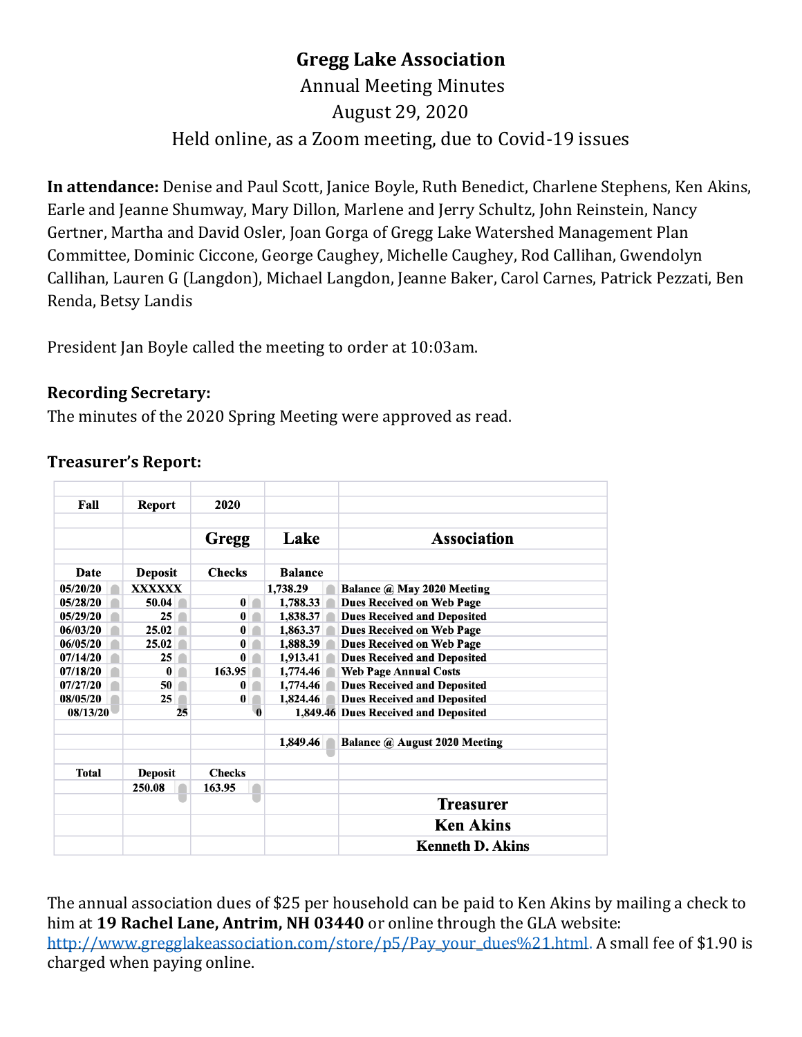# **Gregg Lake Association**

# Annual Meeting Minutes August 29, 2020 Held online, as a Zoom meeting, due to Covid-19 issues

**In attendance:** Denise and Paul Scott, Janice Boyle, Ruth Benedict, Charlene Stephens, Ken Akins, Earle and Jeanne Shumway, Mary Dillon, Marlene and Jerry Schultz, John Reinstein, Nancy Gertner, Martha and David Osler, Joan Gorga of Gregg Lake Watershed Management Plan Committee, Dominic Ciccone, George Caughey, Michelle Caughey, Rod Callihan, Gwendolyn Callihan, Lauren G (Langdon), Michael Langdon, Jeanne Baker, Carol Carnes, Patrick Pezzati, Ben Renda, Betsy Landis

President Jan Boyle called the meeting to order at 10:03am.

### **Recording Secretary:**

The minutes of the 2020 Spring Meeting were approved as read.

| Fall     | <b>Report</b>  | 2020          |                |                                      |
|----------|----------------|---------------|----------------|--------------------------------------|
|          |                |               |                |                                      |
|          |                | Gregg         | Lake           | <b>Association</b>                   |
|          |                |               |                |                                      |
| Date     | <b>Deposit</b> | <b>Checks</b> | <b>Balance</b> |                                      |
| 05/20/20 | <b>XXXXXX</b>  |               | 1,738.29       | Balance @ May 2020 Meeting           |
| 05/28/20 | 50.04          | $\bf{0}$      | 1,788.33       | <b>Dues Received on Web Page</b>     |
| 05/29/20 | 25             | 0             | 1,838.37       | <b>Dues Received and Deposited</b>   |
| 06/03/20 | 25.02          | 0             | 1,863.37       | Dues Received on Web Page            |
| 06/05/20 | 25.02          | 0             | 1,888.39       | Dues Received on Web Page            |
| 07/14/20 | 25             | 0             | 1,913.41       | <b>Dues Received and Deposited</b>   |
| 07/18/20 | 0              | 163.95        | 1,774.46       | <b>Web Page Annual Costs</b>         |
| 07/27/20 | 50             | 0             | 1,774.46       | <b>Dues Received and Deposited</b>   |
| 08/05/20 | 25             | 0             | 1,824.46       | <b>Dues Received and Deposited</b>   |
| 08/13/20 | 25             | Ā             |                | 1,849.46 Dues Received and Deposited |
|          |                |               |                |                                      |
|          |                |               | 1,849.46       | Balance @ August 2020 Meeting        |
|          |                |               |                |                                      |
| Total    | <b>Deposit</b> | <b>Checks</b> |                |                                      |
|          | 250.08         | 163.95        |                |                                      |
|          |                |               |                | <b>Treasurer</b>                     |
|          |                |               |                | <b>Ken Akins</b>                     |
|          |                |               |                | <b>Kenneth D. Akins</b>              |

## **Treasurer's Report:**

The annual association dues of \$25 per household can be paid to Ken Akins by mailing a check to him at **19 Rachel Lane, Antrim, NH 03440** or online through the GLA website: [http://www.gregglakeassociation.com/store/p5/Pay\\_your\\_dues%21.html.](http://www.gregglakeassociation.com/store/p5/Pay_your_dues%21.html) A small fee of \$1.90 is charged when paying online.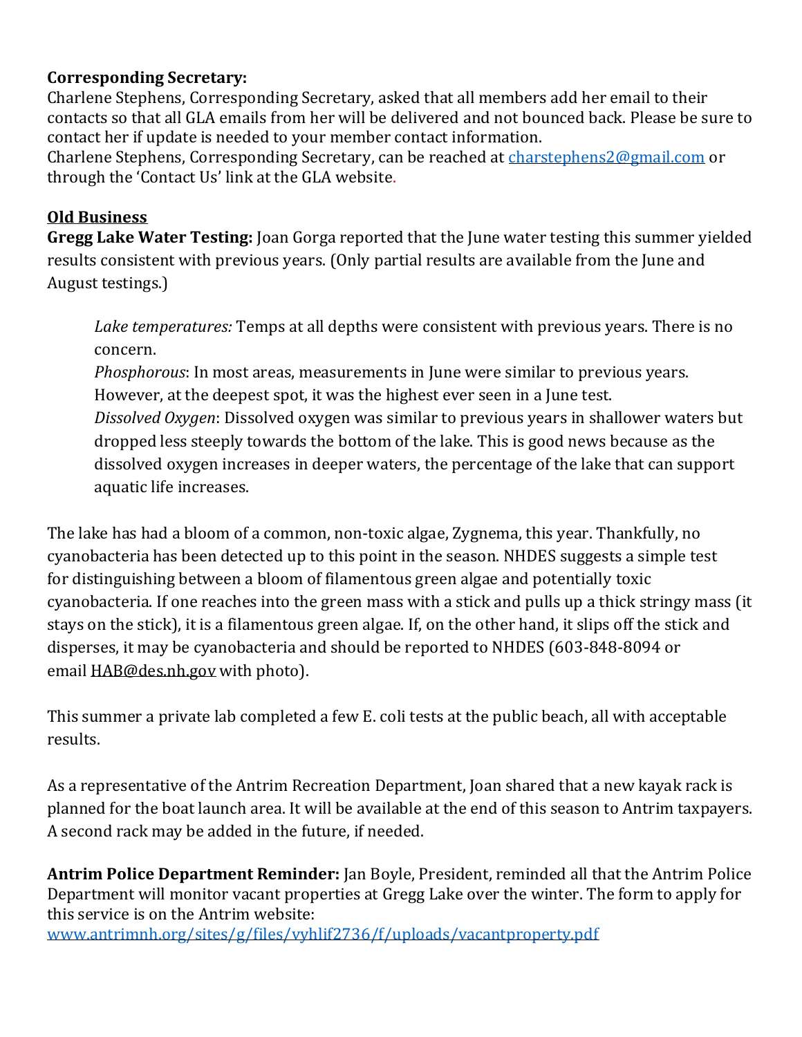# **Corresponding Secretary:**

Charlene Stephens, Corresponding Secretary, asked that all members add her email to their contacts so that all GLA emails from her will be delivered and not bounced back. Please be sure to contact her if update is needed to your member contact information.

Charlene Stephens, Corresponding Secretary, can be reached at [charstephens2@gmail.com](mailto:charstephens2@gmail.com) or through the 'Contact Us' link at the GLA website.

### **Old Business**

**Gregg Lake Water Testing:** Joan Gorga reported that the June water testing this summer yielded results consistent with previous years. (Only partial results are available from the June and August testings.)

*Lake temperatures:* Temps at all depths were consistent with previous years. There is no concern.

*Phosphorous*: In most areas, measurements in June were similar to previous years. However, at the deepest spot, it was the highest ever seen in a June test. *Dissolved Oxygen*: Dissolved oxygen was similar to previous years in shallower waters but dropped less steeply towards the bottom of the lake. This is good news because as the dissolved oxygen increases in deeper waters, the percentage of the lake that can support aquatic life increases.

The lake has had a bloom of a common, non-toxic algae, Zygnema, this year. Thankfully, no cyanobacteria has been detected up to this point in the season. NHDES suggests a simple test for distinguishing between a bloom of filamentous green algae and potentially toxic cyanobacteria. If one reaches into the green mass with a stick and pulls up a thick stringy mass (it stays on the stick), it is a filamentous green algae. If, on the other hand, it slips off the stick and disperses, it may be cyanobacteria and should be reported to NHDES (603-848-8094 or email [HAB@des.nh.gov](mailto:HAB@des.nh.gov) with photo).

This summer a private lab completed a few E. coli tests at the public beach, all with acceptable results.

As a representative of the Antrim Recreation Department, Joan shared that a new kayak rack is planned for the boat launch area. It will be available at the end of this season to Antrim taxpayers. A second rack may be added in the future, if needed.

**Antrim Police Department Reminder:** Jan Boyle, President, reminded all that the Antrim Police Department will monitor vacant properties at Gregg Lake over the winter. The form to apply for this service is on the Antrim website: [www.antrimnh.org/sites/g/files/vyhlif2736/f/uploads/vacantproperty.pdf](http://www.antrimnh.org/sites/g/files/vyhlif2736/f/uploads/vacantproperty.pdf)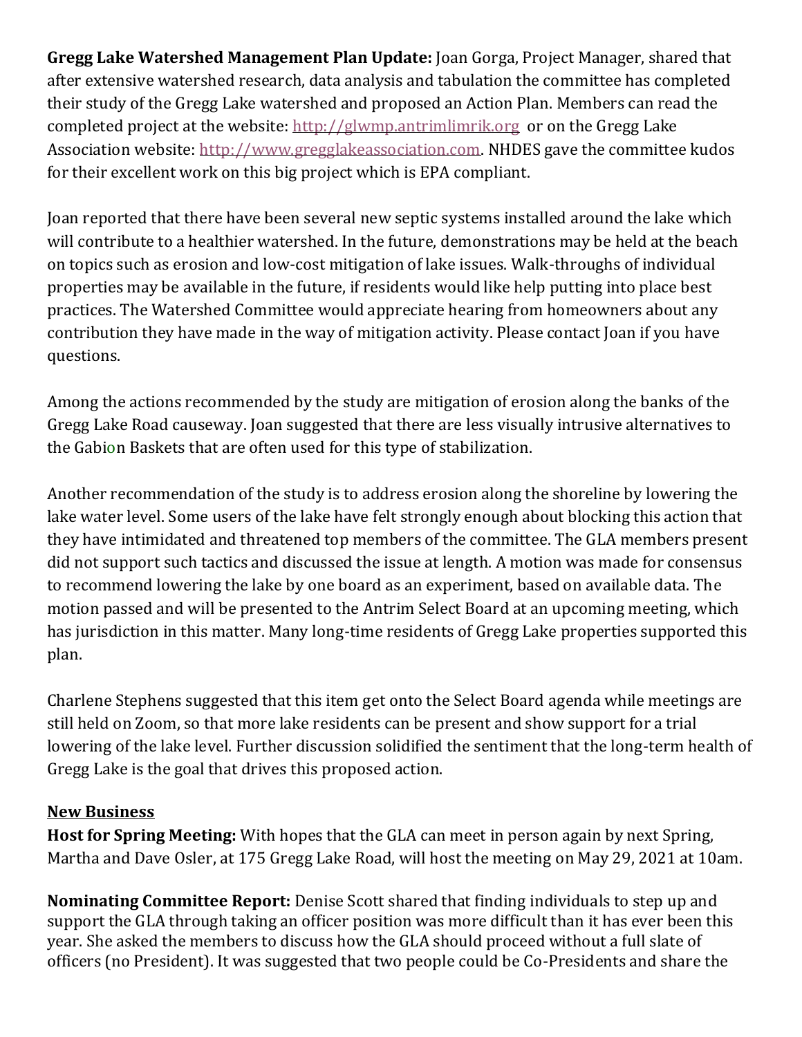**Gregg Lake Watershed Management Plan Update:** Joan Gorga, Project Manager, shared that after extensive watershed research, data analysis and tabulation the committee has completed their study of the Gregg Lake watershed and proposed an Action Plan. Members can read the completed project at the website: [http://glwmp.antrimlimrik.org](http://glwmp.antrimlimrik.org/) or on the Gregg Lake Association website: [http://www.gregglakeassociation.com.](http://www.gregglakeassociation.com/) NHDES gave the committee kudos for their excellent work on this big project which is EPA compliant.

Joan reported that there have been several new septic systems installed around the lake which will contribute to a healthier watershed. In the future, demonstrations may be held at the beach on topics such as erosion and low-cost mitigation of lake issues. Walk-throughs of individual properties may be available in the future, if residents would like help putting into place best practices. The Watershed Committee would appreciate hearing from homeowners about any contribution they have made in the way of mitigation activity. Please contact Joan if you have questions.

Among the actions recommended by the study are mitigation of erosion along the banks of the Gregg Lake Road causeway. Joan suggested that there are less visually intrusive alternatives to the Gabion Baskets that are often used for this type of stabilization.

Another recommendation of the study is to address erosion along the shoreline by lowering the lake water level. Some users of the lake have felt strongly enough about blocking this action that they have intimidated and threatened top members of the committee. The GLA members present did not support such tactics and discussed the issue at length. A motion was made for consensus to recommend lowering the lake by one board as an experiment, based on available data. The motion passed and will be presented to the Antrim Select Board at an upcoming meeting, which has jurisdiction in this matter. Many long-time residents of Gregg Lake properties supported this plan.

Charlene Stephens suggested that this item get onto the Select Board agenda while meetings are still held on Zoom, so that more lake residents can be present and show support for a trial lowering of the lake level. Further discussion solidified the sentiment that the long-term health of Gregg Lake is the goal that drives this proposed action.

### **New Business**

**Host for Spring Meeting:** With hopes that the GLA can meet in person again by next Spring, Martha and Dave Osler, at 175 Gregg Lake Road, will host the meeting on May 29, 2021 at 10am.

**Nominating Committee Report:** Denise Scott shared that finding individuals to step up and support the GLA through taking an officer position was more difficult than it has ever been this year. She asked the members to discuss how the GLA should proceed without a full slate of officers (no President). It was suggested that two people could be Co-Presidents and share the